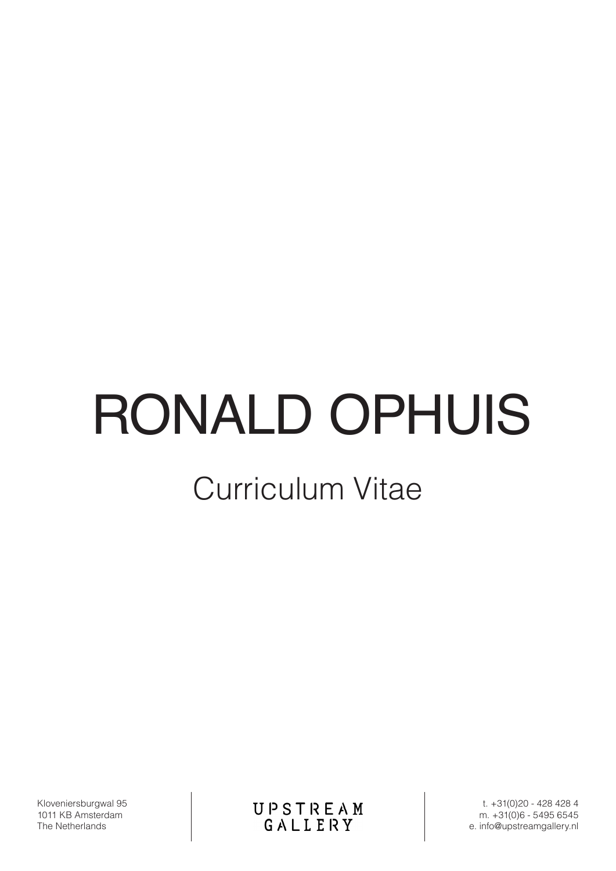# RONALD OPHUIS

# Curriculum Vitae

Kloveniersburgwal 95 1011 KB Amsterdam The Netherlands

UPSTREAM<br>GALLERY

t. +31(0)20 - 428 428 4 m. +31(0)6 - 5495 6545 e. info@upstreamgallery.nl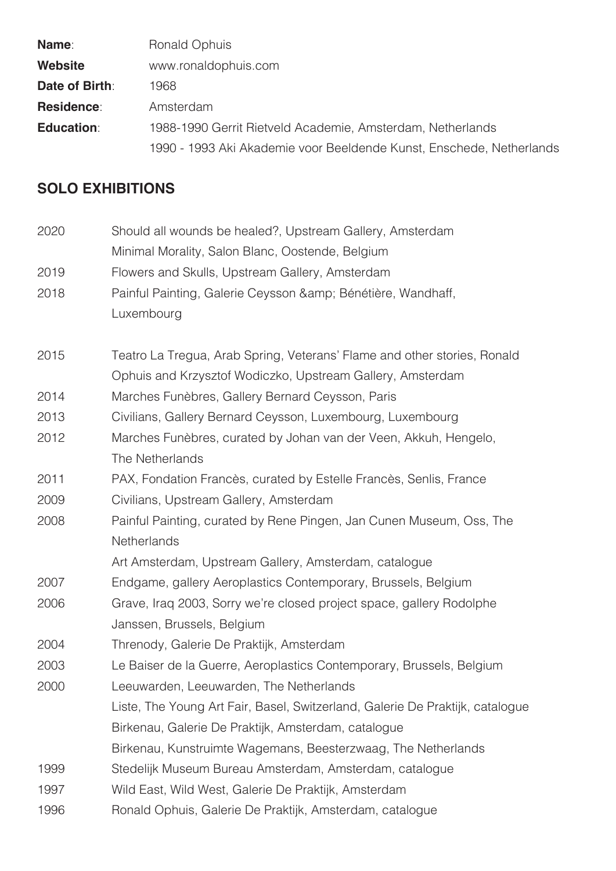| <b>Name:</b>      | Ronald Ophuis                                                        |
|-------------------|----------------------------------------------------------------------|
| Website           | www.ronaldophuis.com                                                 |
| Date of Birth:    | 1968.                                                                |
| <b>Residence:</b> | Amsterdam                                                            |
| <b>Education:</b> | 1988-1990 Gerrit Rietveld Academie, Amsterdam, Netherlands           |
|                   | 1990 - 1993 Aki Akademie voor Beeldende Kunst, Enschede, Netherlands |

# **SOLO EXHIBITIONS**

| 2020 | Should all wounds be healed?, Upstream Gallery, Amsterdam                     |
|------|-------------------------------------------------------------------------------|
|      | Minimal Morality, Salon Blanc, Oostende, Belgium                              |
| 2019 | Flowers and Skulls, Upstream Gallery, Amsterdam                               |
| 2018 | Painful Painting, Galerie Ceysson & amp; Bénétière, Wandhaff,                 |
|      | Luxembourg                                                                    |
| 2015 | Teatro La Tregua, Arab Spring, Veterans' Flame and other stories, Ronald      |
|      | Ophuis and Krzysztof Wodiczko, Upstream Gallery, Amsterdam                    |
| 2014 | Marches Funèbres, Gallery Bernard Ceysson, Paris                              |
| 2013 | Civilians, Gallery Bernard Ceysson, Luxembourg, Luxembourg                    |
| 2012 | Marches Funèbres, curated by Johan van der Veen, Akkuh, Hengelo,              |
|      | The Netherlands                                                               |
| 2011 | PAX, Fondation Francès, curated by Estelle Francès, Senlis, France            |
| 2009 | Civilians, Upstream Gallery, Amsterdam                                        |
| 2008 | Painful Painting, curated by Rene Pingen, Jan Cunen Museum, Oss, The          |
|      | Netherlands                                                                   |
|      | Art Amsterdam, Upstream Gallery, Amsterdam, catalogue                         |
| 2007 | Endgame, gallery Aeroplastics Contemporary, Brussels, Belgium                 |
| 2006 | Grave, Iraq 2003, Sorry we're closed project space, gallery Rodolphe          |
|      | Janssen, Brussels, Belgium                                                    |
| 2004 | Threnody, Galerie De Praktijk, Amsterdam                                      |
| 2003 | Le Baiser de la Guerre, Aeroplastics Contemporary, Brussels, Belgium          |
| 2000 | Leeuwarden, Leeuwarden, The Netherlands                                       |
|      | Liste, The Young Art Fair, Basel, Switzerland, Galerie De Praktijk, catalogue |
|      | Birkenau, Galerie De Praktijk, Amsterdam, catalogue                           |
|      | Birkenau, Kunstruimte Wagemans, Beesterzwaag, The Netherlands                 |
| 1999 | Stedelijk Museum Bureau Amsterdam, Amsterdam, catalogue                       |
| 1997 | Wild East, Wild West, Galerie De Praktijk, Amsterdam                          |
| 1996 | Ronald Ophuis, Galerie De Praktijk, Amsterdam, catalogue                      |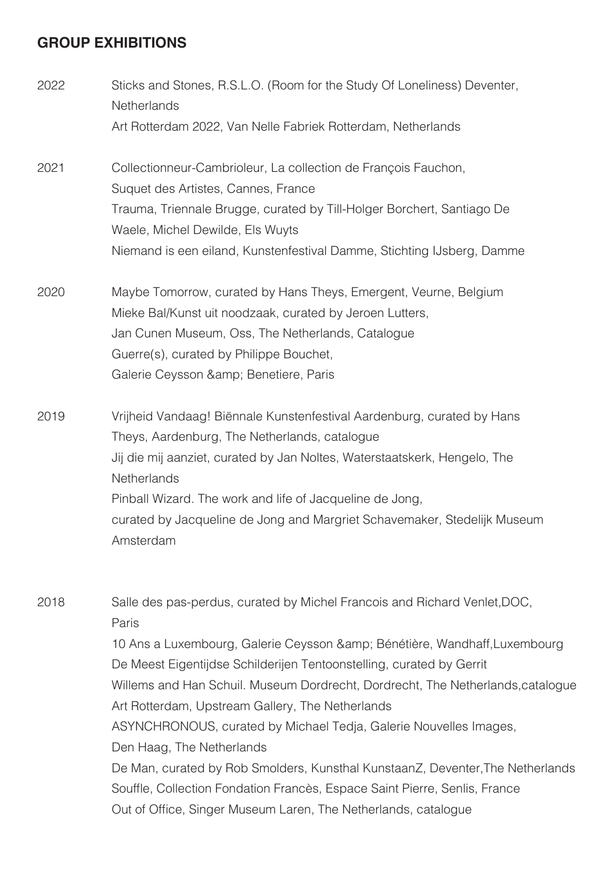## **GROUP EXHIBITIONS**

2022 Sticks and Stones, R.S.L.O. (Room for the Study Of Loneliness) Deventer, **Netherlands**  Art Rotterdam 2022, Van Nelle Fabriek Rotterdam, Netherlands 2021 Collectionneur-Cambrioleur, La collection de François Fauchon, Suquet des Artistes, Cannes, France Trauma, Triennale Brugge, curated by Till-Holger Borchert, Santiago De Waele, Michel Dewilde, Els Wuyts Niemand is een eiland, Kunstenfestival Damme, Stichting IJsberg, Damme 2020 Maybe Tomorrow, curated by Hans Theys, Emergent, Veurne, Belgium Mieke Bal/Kunst uit noodzaak, curated by Jeroen Lutters, Jan Cunen Museum, Oss, The Netherlands, Catalogue Guerre(s), curated by Philippe Bouchet, Galerie Ceysson & amp; Benetiere, Paris 2019 Vrijheid Vandaag! Biënnale Kunstenfestival Aardenburg, curated by Hans Theys, Aardenburg, The Netherlands, catalogue Jij die mij aanziet, curated by Jan Noltes, Waterstaatskerk, Hengelo, The **Netherlands**  Pinball Wizard. The work and life of Jacqueline de Jong, curated by Jacqueline de Jong and Margriet Schavemaker, Stedelijk Museum Amsterdam 2018 Salle des pas-perdus, curated by Michel Francois and Richard Venlet,DOC, Paris 10 Ans a Luxembourg, Galerie Ceysson & amp; Bénétière, Wandhaff, Luxembourg

 De Meest Eigentijdse Schilderijen Tentoonstelling, curated by Gerrit Willems and Han Schuil. Museum Dordrecht, Dordrecht, The Netherlands,catalogue Art Rotterdam, Upstream Gallery, The Netherlands ASYNCHRONOUS, curated by Michael Tedja, Galerie Nouvelles Images, Den Haag, The Netherlands De Man, curated by Rob Smolders, Kunsthal KunstaanZ, Deventer,The Netherlands Souffle, Collection Fondation Francès, Espace Saint Pierre, Senlis, France Out of Office, Singer Museum Laren, The Netherlands, catalogue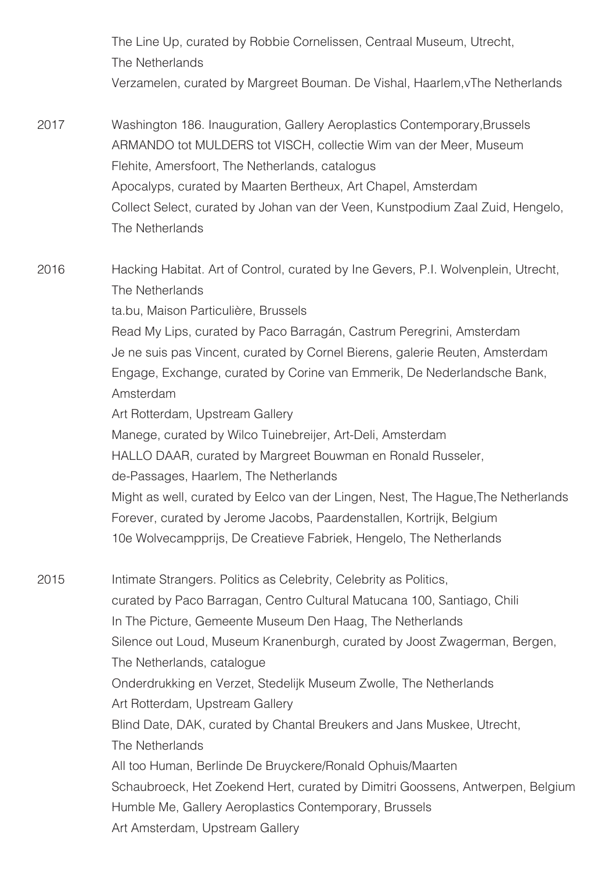The Line Up, curated by Robbie Cornelissen, Centraal Museum, Utrecht, The Netherlands Verzamelen, curated by Margreet Bouman. De Vishal, Haarlem,vThe Netherlands

2017 Washington 186. Inauguration, Gallery Aeroplastics Contemporary,Brussels ARMANDO tot MULDERS tot VISCH, collectie Wim van der Meer, Museum Flehite, Amersfoort, The Netherlands, catalogus Apocalyps, curated by Maarten Bertheux, Art Chapel, Amsterdam Collect Select, curated by Johan van der Veen, Kunstpodium Zaal Zuid, Hengelo, The Netherlands

2016 Hacking Habitat. Art of Control, curated by Ine Gevers, P.I. Wolvenplein, Utrecht, The Netherlands ta.bu, Maison Particulière, Brussels Read My Lips, curated by Paco Barragán, Castrum Peregrini, Amsterdam Je ne suis pas Vincent, curated by Cornel Bierens, galerie Reuten, Amsterdam Engage, Exchange, curated by Corine van Emmerik, De Nederlandsche Bank, Amsterdam Art Rotterdam, Upstream Gallery Manege, curated by Wilco Tuinebreijer, Art-Deli, Amsterdam HALLO DAAR, curated by Margreet Bouwman en Ronald Russeler, de-Passages, Haarlem, The Netherlands Might as well, curated by Eelco van der Lingen, Nest, The Hague,The Netherlands Forever, curated by Jerome Jacobs, Paardenstallen, Kortrijk, Belgium

2015 Intimate Strangers. Politics as Celebrity, Celebrity as Politics, curated by Paco Barragan, Centro Cultural Matucana 100, Santiago, Chili In The Picture, Gemeente Museum Den Haag, The Netherlands Silence out Loud, Museum Kranenburgh, curated by Joost Zwagerman, Bergen, The Netherlands, catalogue Onderdrukking en Verzet, Stedelijk Museum Zwolle, The Netherlands Art Rotterdam, Upstream Gallery Blind Date, DAK, curated by Chantal Breukers and Jans Muskee, Utrecht, The Netherlands All too Human, Berlinde De Bruyckere/Ronald Ophuis/Maarten Schaubroeck, Het Zoekend Hert, curated by Dimitri Goossens, Antwerpen, Belgium Humble Me, Gallery Aeroplastics Contemporary, Brussels Art Amsterdam, Upstream Gallery

10e Wolvecampprijs, De Creatieve Fabriek, Hengelo, The Netherlands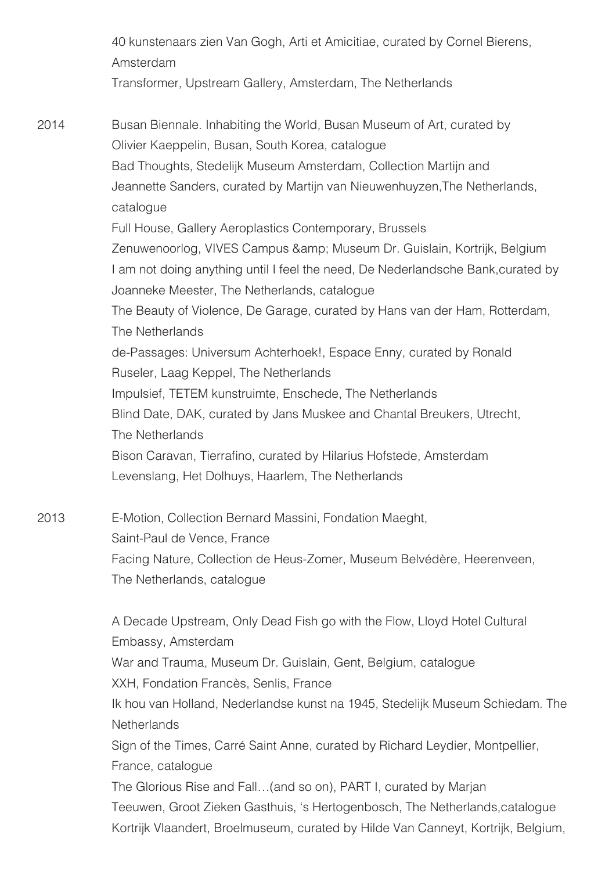40 kunstenaars zien Van Gogh, Arti et Amicitiae, curated by Cornel Bierens, Amsterdam Transformer, Upstream Gallery, Amsterdam, The Netherlands

2014 Busan Biennale. Inhabiting the World, Busan Museum of Art, curated by Olivier Kaeppelin, Busan, South Korea, catalogue Bad Thoughts, Stedelijk Museum Amsterdam, Collection Martijn and Jeannette Sanders, curated by Martijn van Nieuwenhuyzen,The Netherlands, catalogue Full House, Gallery Aeroplastics Contemporary, Brussels Zenuwenoorlog, VIVES Campus & amp; Museum Dr. Guislain, Kortrijk, Belgium I am not doing anything until I feel the need, De Nederlandsche Bank,curated by Joanneke Meester, The Netherlands, catalogue The Beauty of Violence, De Garage, curated by Hans van der Ham, Rotterdam, The Netherlands de-Passages: Universum Achterhoek!, Espace Enny, curated by Ronald Ruseler, Laag Keppel, The Netherlands Impulsief, TETEM kunstruimte, Enschede, The Netherlands Blind Date, DAK, curated by Jans Muskee and Chantal Breukers, Utrecht, The Netherlands Bison Caravan, Tierrafino, curated by Hilarius Hofstede, Amsterdam Levenslang, Het Dolhuys, Haarlem, The Netherlands

2013 E-Motion, Collection Bernard Massini, Fondation Maeght, Saint-Paul de Vence, France Facing Nature, Collection de Heus-Zomer, Museum Belvédère, Heerenveen, The Netherlands, catalogue

> A Decade Upstream, Only Dead Fish go with the Flow, Lloyd Hotel Cultural Embassy, Amsterdam War and Trauma, Museum Dr. Guislain, Gent, Belgium, catalogue XXH, Fondation Francès, Senlis, France Ik hou van Holland, Nederlandse kunst na 1945, Stedelijk Museum Schiedam. The **Netherlands**  Sign of the Times, Carré Saint Anne, curated by Richard Leydier, Montpellier, France, catalogue The Glorious Rise and Fall…(and so on), PART I, curated by Marjan Teeuwen, Groot Zieken Gasthuis, 's Hertogenbosch, The Netherlands,catalogue Kortrijk Vlaandert, Broelmuseum, curated by Hilde Van Canneyt, Kortrijk, Belgium,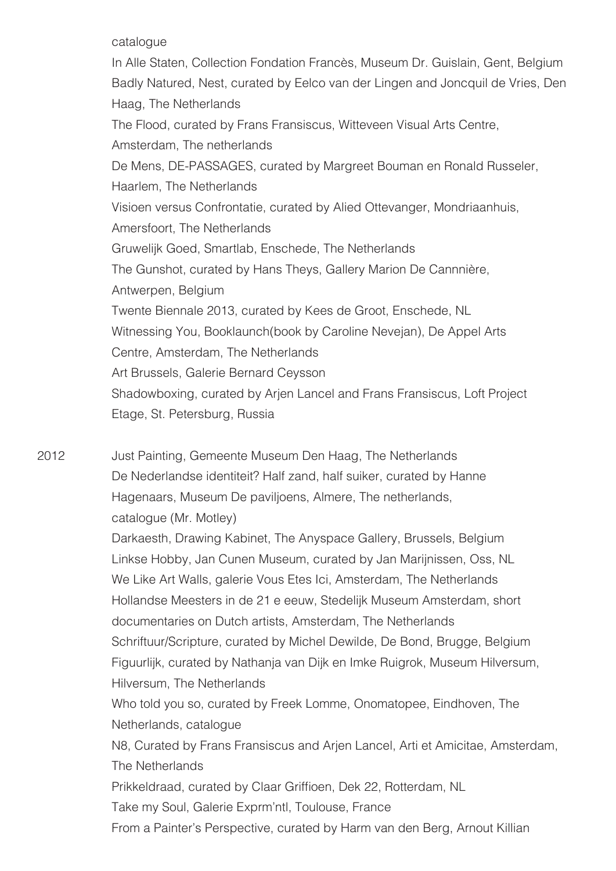catalogue

 In Alle Staten, Collection Fondation Francès, Museum Dr. Guislain, Gent, Belgium Badly Natured, Nest, curated by Eelco van der Lingen and Joncquil de Vries, Den Haag, The Netherlands The Flood, curated by Frans Fransiscus, Witteveen Visual Arts Centre, Amsterdam, The netherlands De Mens, DE-PASSAGES, curated by Margreet Bouman en Ronald Russeler, Haarlem, The Netherlands Visioen versus Confrontatie, curated by Alied Ottevanger, Mondriaanhuis, Amersfoort, The Netherlands Gruwelijk Goed, Smartlab, Enschede, The Netherlands The Gunshot, curated by Hans Theys, Gallery Marion De Cannnière, Antwerpen, Belgium Twente Biennale 2013, curated by Kees de Groot, Enschede, NL Witnessing You, Booklaunch(book by Caroline Nevejan), De Appel Arts Centre, Amsterdam, The Netherlands Art Brussels, Galerie Bernard Ceysson Shadowboxing, curated by Arjen Lancel and Frans Fransiscus, Loft Project Etage, St. Petersburg, Russia

2012 Just Painting, Gemeente Museum Den Haag, The Netherlands De Nederlandse identiteit? Half zand, half suiker, curated by Hanne Hagenaars, Museum De paviljoens, Almere, The netherlands, catalogue (Mr. Motley)

> Darkaesth, Drawing Kabinet, The Anyspace Gallery, Brussels, Belgium Linkse Hobby, Jan Cunen Museum, curated by Jan Marijnissen, Oss, NL We Like Art Walls, galerie Vous Etes Ici, Amsterdam, The Netherlands Hollandse Meesters in de 21 e eeuw, Stedelijk Museum Amsterdam, short documentaries on Dutch artists, Amsterdam, The Netherlands Schriftuur/Scripture, curated by Michel Dewilde, De Bond, Brugge, Belgium Figuurlijk, curated by Nathanja van Dijk en Imke Ruigrok, Museum Hilversum, Hilversum, The Netherlands Who told you so, curated by Freek Lomme, Onomatopee, Eindhoven, The

Netherlands, catalogue

 N8, Curated by Frans Fransiscus and Arjen Lancel, Arti et Amicitae, Amsterdam, The Netherlands

 Prikkeldraad, curated by Claar Griffioen, Dek 22, Rotterdam, NL

Take my Soul, Galerie Exprm'ntl, Toulouse, France

From a Painter's Perspective, curated by Harm van den Berg, Arnout Killian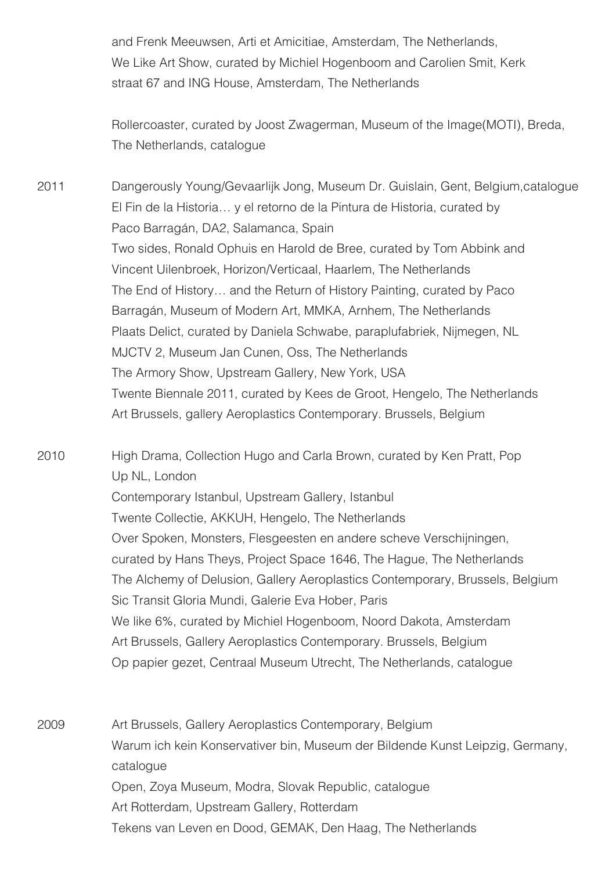and Frenk Meeuwsen, Arti et Amicitiae, Amsterdam, The Netherlands, We Like Art Show, curated by Michiel Hogenboom and Carolien Smit, Kerk straat 67 and ING House, Amsterdam, The Netherlands

 Rollercoaster, curated by Joost Zwagerman, Museum of the Image(MOTI), Breda, The Netherlands, catalogue

2011 Dangerously Young/Gevaarlijk Jong, Museum Dr. Guislain, Gent, Belgium,catalogue El Fin de la Historia… y el retorno de la Pintura de Historia, curated by Paco Barragán, DA2, Salamanca, Spain Two sides, Ronald Ophuis en Harold de Bree, curated by Tom Abbink and Vincent Uilenbroek, Horizon/Verticaal, Haarlem, The Netherlands The End of History… and the Return of History Painting, curated by Paco Barragán, Museum of Modern Art, MMKA, Arnhem, The Netherlands Plaats Delict, curated by Daniela Schwabe, paraplufabriek, Nijmegen, NL MJCTV 2, Museum Jan Cunen, Oss, The Netherlands The Armory Show, Upstream Gallery, New York, USA Twente Biennale 2011, curated by Kees de Groot, Hengelo, The Netherlands Art Brussels, gallery Aeroplastics Contemporary. Brussels, Belgium

2010 High Drama, Collection Hugo and Carla Brown, curated by Ken Pratt, Pop Up NL, London Contemporary Istanbul, Upstream Gallery, Istanbul Twente Collectie, AKKUH, Hengelo, The Netherlands Over Spoken, Monsters, Flesgeesten en andere scheve Verschijningen, curated by Hans Theys, Project Space 1646, The Hague, The Netherlands The Alchemy of Delusion, Gallery Aeroplastics Contemporary, Brussels, Belgium Sic Transit Gloria Mundi, Galerie Eva Hober, Paris We like 6%, curated by Michiel Hogenboom, Noord Dakota, Amsterdam Art Brussels, Gallery Aeroplastics Contemporary. Brussels, Belgium Op papier gezet, Centraal Museum Utrecht, The Netherlands, catalogue

2009 Art Brussels, Gallery Aeroplastics Contemporary, Belgium Warum ich kein Konservativer bin, Museum der Bildende Kunst Leipzig, Germany, catalogue Open, Zoya Museum, Modra, Slovak Republic, catalogue Art Rotterdam, Upstream Gallery, Rotterdam Tekens van Leven en Dood, GEMAK, Den Haag, The Netherlands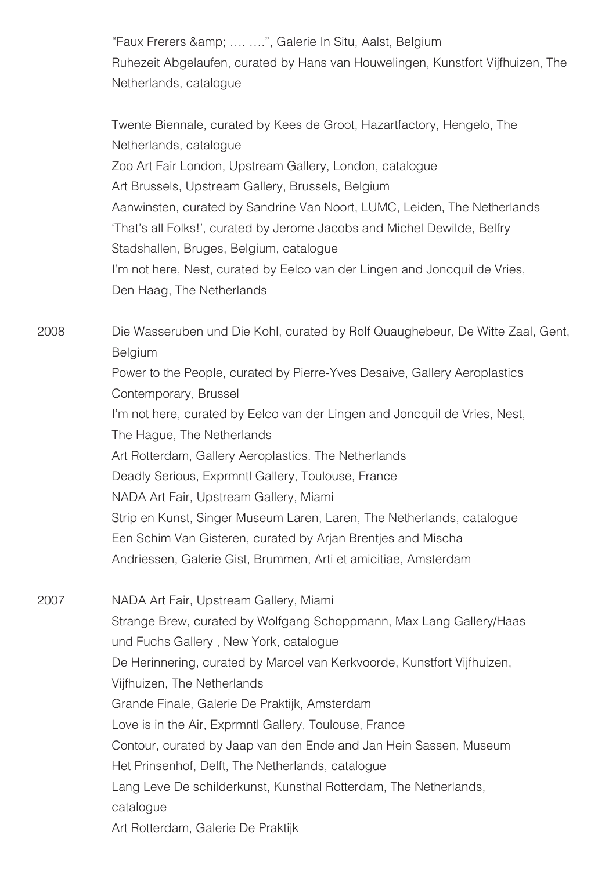"Faux Frerers & amp; .... ....", Galerie In Situ, Aalst, Belgium Ruhezeit Abgelaufen, curated by Hans van Houwelingen, Kunstfort Vijfhuizen, The Netherlands, catalogue

 Twente Biennale, curated by Kees de Groot, Hazartfactory, Hengelo, The Netherlands, catalogue Zoo Art Fair London, Upstream Gallery, London, catalogue Art Brussels, Upstream Gallery, Brussels, Belgium Aanwinsten, curated by Sandrine Van Noort, LUMC, Leiden, The Netherlands 'That's all Folks!', curated by Jerome Jacobs and Michel Dewilde, Belfry Stadshallen, Bruges, Belgium, catalogue I'm not here, Nest, curated by Eelco van der Lingen and Joncquil de Vries, Den Haag, The Netherlands

2008 Die Wasseruben und Die Kohl, curated by Rolf Quaughebeur, De Witte Zaal, Gent, Belgium Power to the People, curated by Pierre-Yves Desaive, Gallery Aeroplastics Contemporary, Brussel I'm not here, curated by Eelco van der Lingen and Joncquil de Vries, Nest, The Hague, The Netherlands Art Rotterdam, Gallery Aeroplastics. The Netherlands Deadly Serious, Exprmntl Gallery, Toulouse, France NADA Art Fair, Upstream Gallery, Miami Strip en Kunst, Singer Museum Laren, Laren, The Netherlands, catalogue Een Schim Van Gisteren, curated by Arjan Brentjes and Mischa Andriessen, Galerie Gist, Brummen, Arti et amicitiae, Amsterdam 2007 NADA Art Fair, Upstream Gallery, Miami

 Strange Brew, curated by Wolfgang Schoppmann, Max Lang Gallery/Haas und Fuchs Gallery , New York, catalogue De Herinnering, curated by Marcel van Kerkvoorde, Kunstfort Vijfhuizen, Vijfhuizen, The Netherlands Grande Finale, Galerie De Praktijk, Amsterdam Love is in the Air, Exprmntl Gallery, Toulouse, France Contour, curated by Jaap van den Ende and Jan Hein Sassen, Museum Het Prinsenhof, Delft, The Netherlands, catalogue Lang Leve De schilderkunst, Kunsthal Rotterdam, The Netherlands, catalogue Art Rotterdam, Galerie De Praktijk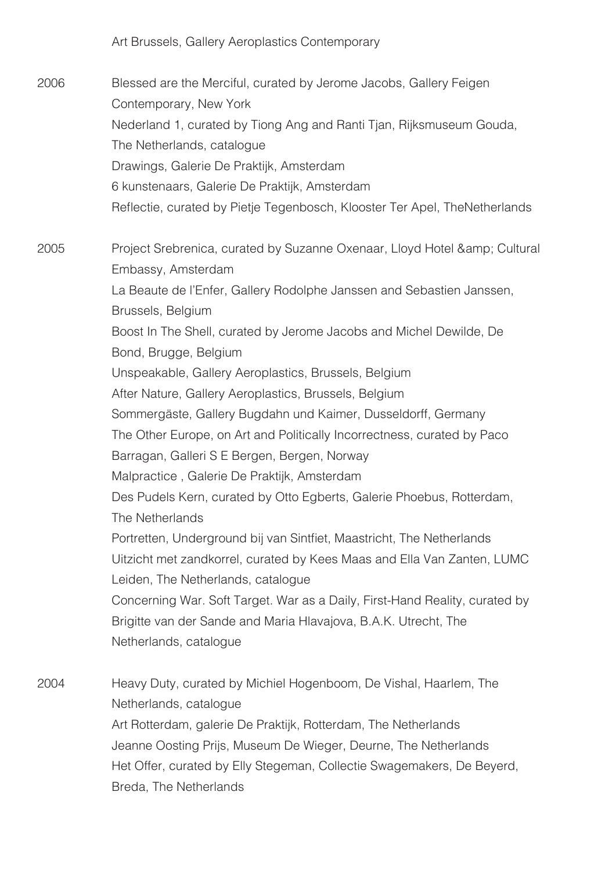Art Brussels, Gallery Aeroplastics Contemporary

2006 Blessed are the Merciful, curated by Jerome Jacobs, Gallery Feigen Contemporary, New York Nederland 1, curated by Tiong Ang and Ranti Tjan, Rijksmuseum Gouda, The Netherlands, catalogue Drawings, Galerie De Praktijk, Amsterdam 6 kunstenaars, Galerie De Praktijk, Amsterdam Reflectie, curated by Pietje Tegenbosch, Klooster Ter Apel, TheNetherlands

2005 Project Srebrenica, curated by Suzanne Oxenaar, Lloyd Hotel & amp; Cultural Embassy, Amsterdam La Beaute de l'Enfer, Gallery Rodolphe Janssen and Sebastien Janssen, Brussels, Belgium Boost In The Shell, curated by Jerome Jacobs and Michel Dewilde, De Bond, Brugge, Belgium Unspeakable, Gallery Aeroplastics, Brussels, Belgium After Nature, Gallery Aeroplastics, Brussels, Belgium Sommergäste, Gallery Bugdahn und Kaimer, Dusseldorff, Germany The Other Europe, on Art and Politically Incorrectness, curated by Paco Barragan, Galleri S E Bergen, Bergen, Norway Malpractice , Galerie De Praktijk, Amsterdam Des Pudels Kern, curated by Otto Egberts, Galerie Phoebus, Rotterdam, The Netherlands Portretten, Underground bij van Sintfiet, Maastricht, The Netherlands Uitzicht met zandkorrel, curated by Kees Maas and Ella Van Zanten, LUMC Leiden, The Netherlands, catalogue Concerning War. Soft Target. War as a Daily, First-Hand Reality, curated by Brigitte van der Sande and Maria Hlavajova, B.A.K. Utrecht, The Netherlands, catalogue

2004 Heavy Duty, curated by Michiel Hogenboom, De Vishal, Haarlem, The Netherlands, catalogue Art Rotterdam, galerie De Praktijk, Rotterdam, The Netherlands Jeanne Oosting Prijs, Museum De Wieger, Deurne, The Netherlands Het Offer, curated by Elly Stegeman, Collectie Swagemakers, De Beyerd, Breda, The Netherlands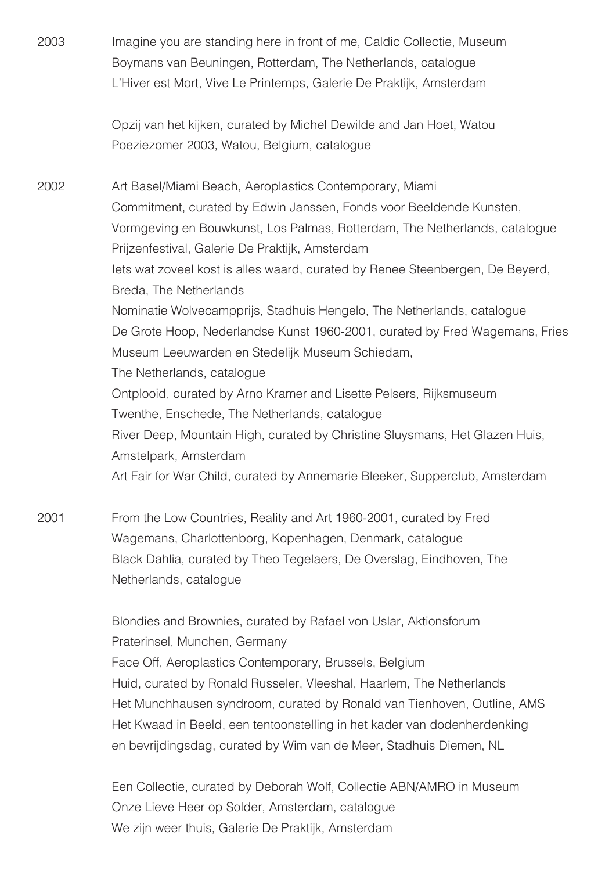- 2003 Imagine you are standing here in front of me, Caldic Collectie, Museum Boymans van Beuningen, Rotterdam, The Netherlands, catalogue L'Hiver est Mort, Vive Le Printemps, Galerie De Praktijk, Amsterdam Opzij van het kijken, curated by Michel Dewilde and Jan Hoet, Watou Poeziezomer 2003, Watou, Belgium, catalogue 2002 Art Basel/Miami Beach, Aeroplastics Contemporary, Miami Commitment, curated by Edwin Janssen, Fonds voor Beeldende Kunsten, Vormgeving en Bouwkunst, Los Palmas, Rotterdam, The Netherlands, catalogue Prijzenfestival, Galerie De Praktijk, Amsterdam Iets wat zoveel kost is alles waard, curated by Renee Steenbergen, De Beyerd, Breda, The Netherlands Nominatie Wolvecampprijs, Stadhuis Hengelo, The Netherlands, catalogue De Grote Hoop, Nederlandse Kunst 1960-2001, curated by Fred Wagemans, Fries Museum Leeuwarden en Stedelijk Museum Schiedam, The Netherlands, catalogue Ontplooid, curated by Arno Kramer and Lisette Pelsers, Rijksmuseum Twenthe, Enschede, The Netherlands, catalogue River Deep, Mountain High, curated by Christine Sluysmans, Het Glazen Huis, Amstelpark, Amsterdam Art Fair for War Child, curated by Annemarie Bleeker, Supperclub, Amsterdam
- 2001 From the Low Countries, Reality and Art 1960-2001, curated by Fred Wagemans, Charlottenborg, Kopenhagen, Denmark, catalogue Black Dahlia, curated by Theo Tegelaers, De Overslag, Eindhoven, The Netherlands, catalogue

 Blondies and Brownies, curated by Rafael von Uslar, Aktionsforum Praterinsel, Munchen, Germany Face Off, Aeroplastics Contemporary, Brussels, Belgium Huid, curated by Ronald Russeler, Vleeshal, Haarlem, The Netherlands Het Munchhausen syndroom, curated by Ronald van Tienhoven, Outline, AMS Het Kwaad in Beeld, een tentoonstelling in het kader van dodenherdenking en bevrijdingsdag, curated by Wim van de Meer, Stadhuis Diemen, NL

 Een Collectie, curated by Deborah Wolf, Collectie ABN/AMRO in Museum Onze Lieve Heer op Solder, Amsterdam, catalogue We zijn weer thuis, Galerie De Praktijk, Amsterdam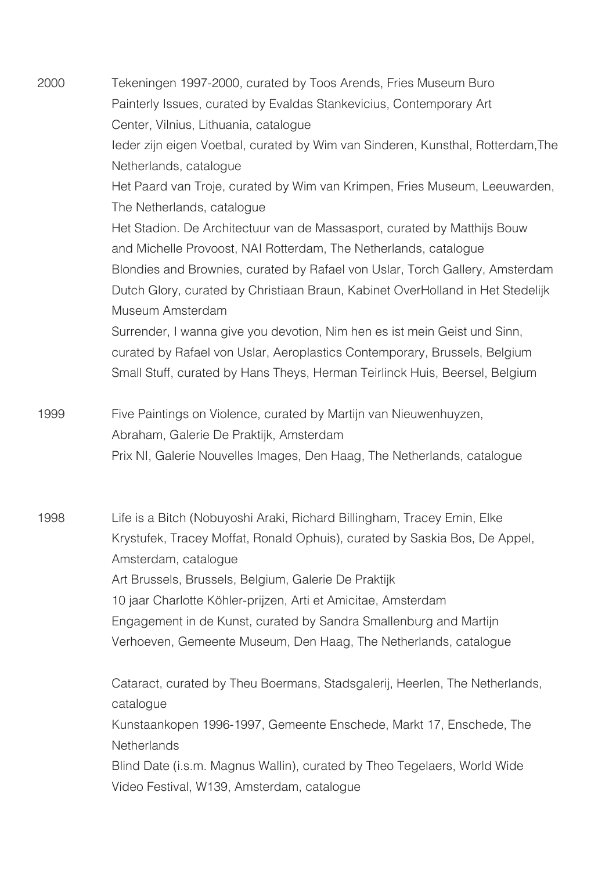2000 Tekeningen 1997-2000, curated by Toos Arends, Fries Museum Buro Painterly Issues, curated by Evaldas Stankevicius, Contemporary Art Center, Vilnius, Lithuania, catalogue Ieder zijn eigen Voetbal, curated by Wim van Sinderen, Kunsthal, Rotterdam,The Netherlands, catalogue Het Paard van Troje, curated by Wim van Krimpen, Fries Museum, Leeuwarden, The Netherlands, catalogue Het Stadion. De Architectuur van de Massasport, curated by Matthijs Bouw and Michelle Provoost, NAI Rotterdam, The Netherlands, catalogue Blondies and Brownies, curated by Rafael von Uslar, Torch Gallery, Amsterdam Dutch Glory, curated by Christiaan Braun, Kabinet OverHolland in Het Stedelijk Museum Amsterdam Surrender, I wanna give you devotion, Nim hen es ist mein Geist und Sinn, curated by Rafael von Uslar, Aeroplastics Contemporary, Brussels, Belgium Small Stuff, curated by Hans Theys, Herman Teirlinck Huis, Beersel, Belgium 1999 Five Paintings on Violence, curated by Martijn van Nieuwenhuyzen, Abraham, Galerie De Praktijk, Amsterdam Prix NI, Galerie Nouvelles Images, Den Haag, The Netherlands, catalogue

1998 Life is a Bitch (Nobuyoshi Araki, Richard Billingham, Tracey Emin, Elke Krystufek, Tracey Moffat, Ronald Ophuis), curated by Saskia Bos, De Appel, Amsterdam, catalogue Art Brussels, Brussels, Belgium, Galerie De Praktijk 10 jaar Charlotte Köhler-prijzen, Arti et Amicitae, Amsterdam Engagement in de Kunst, curated by Sandra Smallenburg and Martijn Verhoeven, Gemeente Museum, Den Haag, The Netherlands, catalogue

> Cataract, curated by Theu Boermans, Stadsgalerij, Heerlen, The Netherlands, catalogue Kunstaankopen 1996-1997, Gemeente Enschede, Markt 17, Enschede, The **Netherlands**  Blind Date (i.s.m. Magnus Wallin), curated by Theo Tegelaers, World Wide Video Festival, W139, Amsterdam, catalogue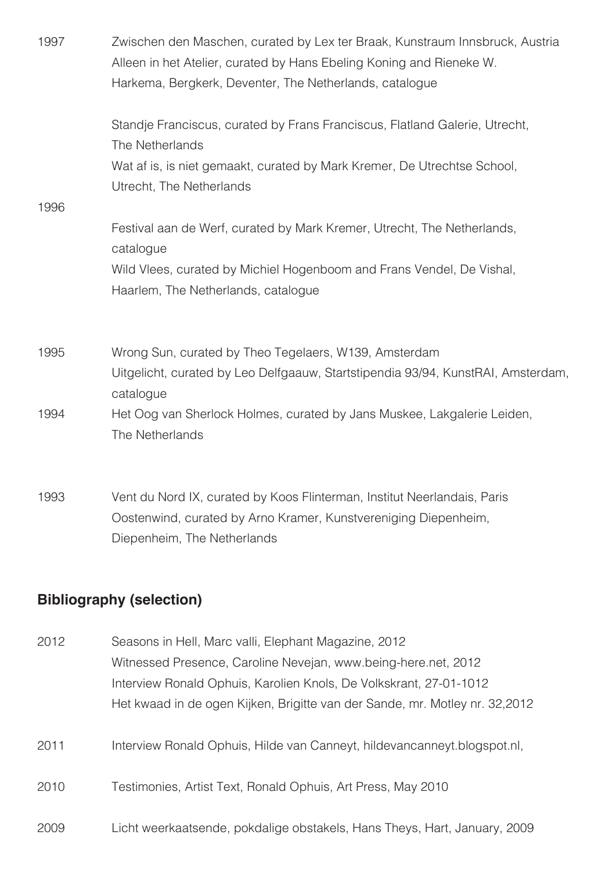| 1997 | Zwischen den Maschen, curated by Lex ter Braak, Kunstraum Innsbruck, Austria<br>Alleen in het Atelier, curated by Hans Ebeling Koning and Rieneke W.<br>Harkema, Bergkerk, Deventer, The Netherlands, catalogue |
|------|-----------------------------------------------------------------------------------------------------------------------------------------------------------------------------------------------------------------|
|      | Standje Franciscus, curated by Frans Franciscus, Flatland Galerie, Utrecht,<br>The Netherlands                                                                                                                  |
|      | Wat af is, is niet gemaakt, curated by Mark Kremer, De Utrechtse School,<br>Utrecht, The Netherlands                                                                                                            |
| 1996 |                                                                                                                                                                                                                 |
|      | Festival aan de Werf, curated by Mark Kremer, Utrecht, The Netherlands,<br>catalogue                                                                                                                            |
|      | Wild Vlees, curated by Michiel Hogenboom and Frans Vendel, De Vishal,<br>Haarlem, The Netherlands, catalogue                                                                                                    |
| 1995 | Wrong Sun, curated by Theo Tegelaers, W139, Amsterdam                                                                                                                                                           |
|      | Uitgelicht, curated by Leo Delfgaauw, Startstipendia 93/94, KunstRAI, Amsterdam,<br>catalogue                                                                                                                   |
| 1994 | Het Oog van Sherlock Holmes, curated by Jans Muskee, Lakgalerie Leiden,<br>The Netherlands                                                                                                                      |
|      |                                                                                                                                                                                                                 |

1993 Vent du Nord IX, curated by Koos Flinterman, Institut Neerlandais, Paris Oostenwind, curated by Arno Kramer, Kunstvereniging Diepenheim, Diepenheim, The Netherlands

# **Bibliography (selection)**

| 2012 | Seasons in Hell, Marc valli, Elephant Magazine, 2012                        |
|------|-----------------------------------------------------------------------------|
|      | Witnessed Presence, Caroline Nevejan, www.being-here.net, 2012              |
|      | Interview Ronald Ophuis, Karolien Knols, De Volkskrant, 27-01-1012          |
|      | Het kwaad in de ogen Kijken, Brigitte van der Sande, mr. Motley nr. 32,2012 |
| 2011 | Interview Ronald Ophuis, Hilde van Canneyt, hildevancanneyt.blogspot.nl,    |
| 2010 | Testimonies, Artist Text, Ronald Ophuis, Art Press, May 2010                |
| 2009 | Licht weerkaatsende, pokdalige obstakels, Hans Theys, Hart, January, 2009   |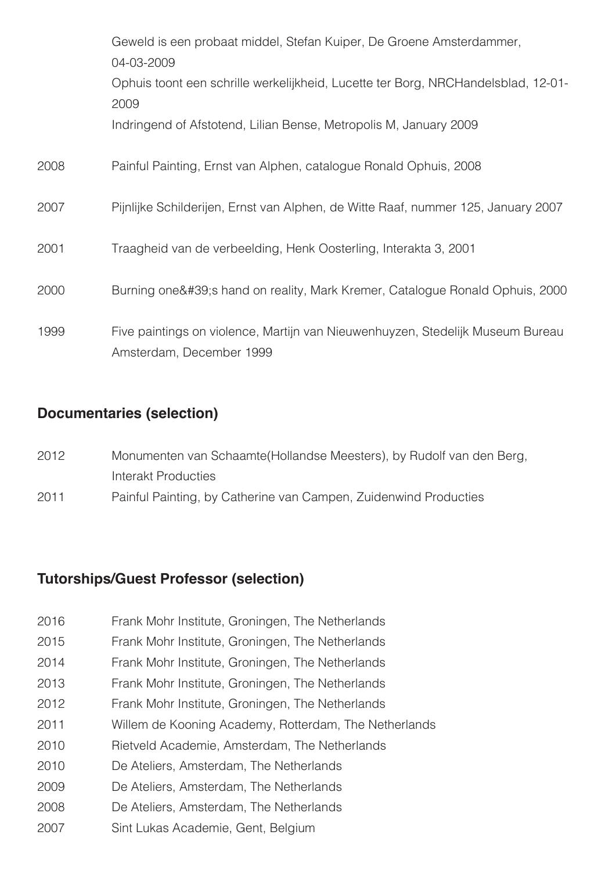|      | Geweld is een probaat middel, Stefan Kuiper, De Groene Amsterdammer,<br>04-03-2009                         |
|------|------------------------------------------------------------------------------------------------------------|
|      | Ophuis toont een schrille werkelijkheid, Lucette ter Borg, NRCHandelsblad, 12-01-<br>2009                  |
|      | Indringend of Afstotend, Lilian Bense, Metropolis M, January 2009                                          |
| 2008 | Painful Painting, Ernst van Alphen, catalogue Ronald Ophuis, 2008                                          |
| 2007 | Pijnlijke Schilderijen, Ernst van Alphen, de Witte Raaf, nummer 125, January 2007                          |
| 2001 | Traagheid van de verbeelding, Henk Oosterling, Interakta 3, 2001                                           |
| 2000 | Burning one' s hand on reality, Mark Kremer, Catalogue Ronald Ophuis, 2000                                 |
| 1999 | Five paintings on violence, Martijn van Nieuwenhuyzen, Stedelijk Museum Bureau<br>Amsterdam, December 1999 |

### **Documentaries (selection)**

| 2012 | Monumenten van Schaamte (Hollandse Meesters), by Rudolf van den Berg, |
|------|-----------------------------------------------------------------------|
|      | Interakt Producties                                                   |

2011 Painful Painting, by Catherine van Campen, Zuidenwind Producties

### **Tutorships/Guest Professor (selection)**

- 2016 Frank Mohr Institute, Groningen, The Netherlands
- 2015 Frank Mohr Institute, Groningen, The Netherlands
- 2014 Frank Mohr Institute, Groningen, The Netherlands
- 2013 Frank Mohr Institute, Groningen, The Netherlands
- 2012 Frank Mohr Institute, Groningen, The Netherlands
- 2011 Willem de Kooning Academy, Rotterdam, The Netherlands
- 2010 Rietveld Academie, Amsterdam, The Netherlands
- 2010 De Ateliers, Amsterdam, The Netherlands
- 2009 De Ateliers, Amsterdam, The Netherlands
- 2008 De Ateliers, Amsterdam, The Netherlands
- 2007 Sint Lukas Academie, Gent, Belgium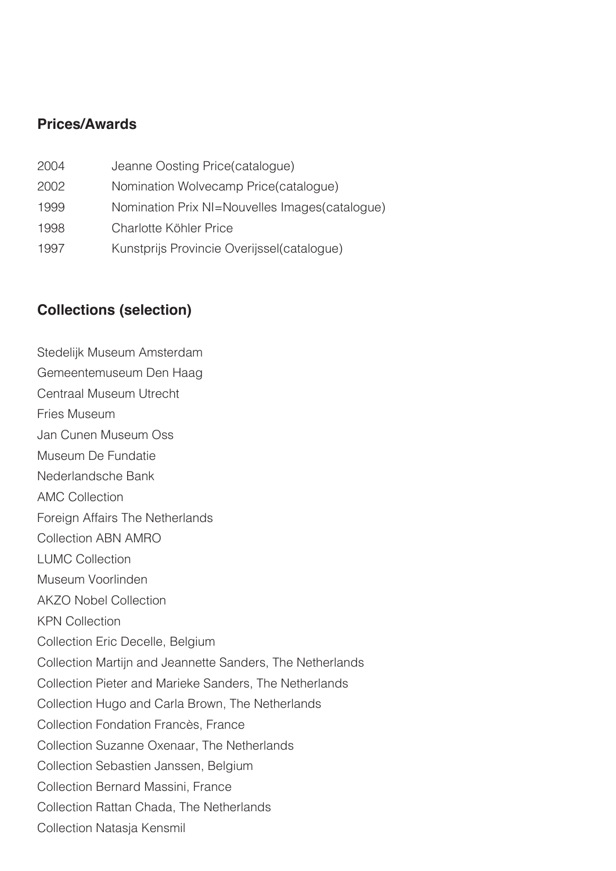#### **Prices/Awards**

2004 Jeanne Oosting Price(catalogue) 2002 Nomination Wolvecamp Price(catalogue) 1999 Nomination Prix NI=Nouvelles Images(catalogue) 1998 Charlotte Köhler Price 1997 Kunstprijs Provincie Overijssel(catalogue)

# **Collections (selection)**

Stedelijk Museum Amsterdam Gemeentemuseum Den Haag Centraal Museum Utrecht Fries Museum Jan Cunen Museum Oss Museum De Fundatie Nederlandsche Bank AMC Collection Foreign Affairs The Netherlands Collection ABN AMRO LUMC Collection Museum Voorlinden AKZO Nobel Collection KPN Collection Collection Eric Decelle, Belgium Collection Martijn and Jeannette Sanders, The Netherlands Collection Pieter and Marieke Sanders, The Netherlands Collection Hugo and Carla Brown, The Netherlands Collection Fondation Francès, France Collection Suzanne Oxenaar, The Netherlands Collection Sebastien Janssen, Belgium Collection Bernard Massini, France Collection Rattan Chada, The Netherlands Collection Natasja Kensmil